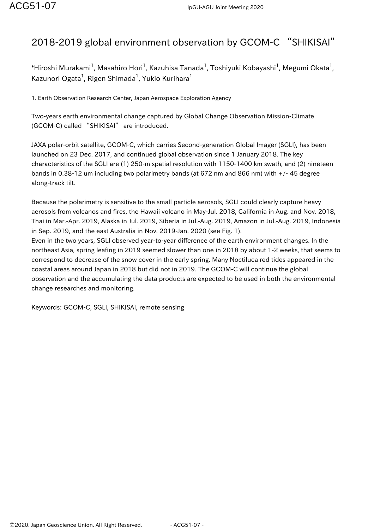## 2018-2019 global environment observation by GCOM-C "SHIKISAI"

 $^\ast$ Hiroshi Murakami $^1$ , Masahiro Hori $^1$ , Kazuhisa Tanada $^1$ , Toshiyuki Kobayashi $^1$ , Megumi Okata $^1$ , Kazunori Ogata $^1$ , Rigen Shimada $^1$ , Yukio Kurihara $^1$ 

1. Earth Observation Research Center, Japan Aerospace Exploration Agency

Two-years earth environmental change captured by Global Change Observation Mission-Climate (GCOM-C) called "SHIKISAI" are introduced.

JAXA polar-orbit satellite, GCOM-C, which carries Second-generation Global Imager (SGLI), has been launched on 23 Dec. 2017, and continued global observation since 1 January 2018. The key characteristics of the SGLI are (1) 250-m spatial resolution with 1150-1400 km swath, and (2) nineteen bands in 0.38-12 um including two polarimetry bands (at 672 nm and 866 nm) with +/- 45 degree along-track tilt.

Because the polarimetry is sensitive to the small particle aerosols, SGLI could clearly capture heavy aerosols from volcanos and fires, the Hawaii volcano in May-Jul. 2018, California in Aug. and Nov. 2018, Thai in Mar.-Apr. 2019, Alaska in Jul. 2019, Siberia in Jul.-Aug. 2019, Amazon in Jul.-Aug. 2019, Indonesia in Sep. 2019, and the east Australia in Nov. 2019-Jan. 2020 (see Fig. 1).

Even in the two years, SGLI observed year-to-year difference of the earth environment changes. In the northeast Asia, spring leafing in 2019 seemed slower than one in 2018 by about 1-2 weeks, that seems to correspond to decrease of the snow cover in the early spring. Many Noctiluca red tides appeared in the coastal areas around Japan in 2018 but did not in 2019. The GCOM-C will continue the global observation and the accumulating the data products are expected to be used in both the environmental change researches and monitoring.

Keywords: GCOM-C, SGLI, SHIKISAI, remote sensing